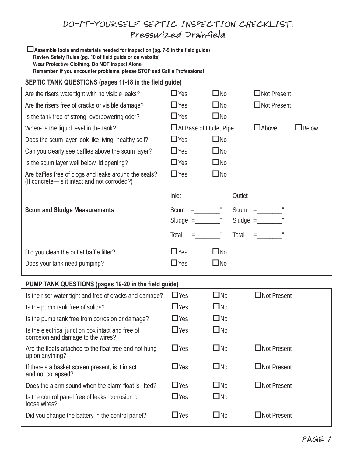## DO-IT-YOURSELF SEPTIC INSPECTION CHECKLIST: Pressurized Drainfield

o**Assemble tools and materials needed for inspection (pg. 7-9 in the field guide) Review Safety Rules (pg. 10 of field guide or on website) Wear Protective Clothing. Do NOT Inspect Alone Remember, if you encounter problems, please STOP and Call a Professional**

## **SEPTIC TANK QUESTIONS (pages 11-18 in the field guide)**

| Are the risers watertight with no visible leaks?                                                      | $\Box$ Yes                              | $\square$ No     |        | $\Box$ Not Present             |                 |  |  |
|-------------------------------------------------------------------------------------------------------|-----------------------------------------|------------------|--------|--------------------------------|-----------------|--|--|
| Are the risers free of cracks or visible damage?                                                      | $\Box$ Yes                              | $\square$ No     |        | $\Box$ Not Present             |                 |  |  |
| Is the tank free of strong, overpowering odor?                                                        | $\Box$ Yes                              | $\square$ No     |        |                                |                 |  |  |
| Where is the liquid level in the tank?                                                                | $\Box$ Above<br>□At Base of Outlet Pipe |                  |        |                                | $\square$ Below |  |  |
| Does the scum layer look like living, healthy soil?                                                   | $\Box$ Yes                              | $\square$ No     |        |                                |                 |  |  |
| Can you clearly see baffles above the scum layer?                                                     | $\Box$ Yes                              | $\square$ No     |        |                                |                 |  |  |
| Is the scum layer well below lid opening?                                                             | $\Box$ Yes                              | $\square$ No     |        |                                |                 |  |  |
| Are baffles free of clogs and leaks around the seals?<br>(If concrete-Is it intact and not corroded?) | $\Box$ Yes                              | $\square$ No     |        |                                |                 |  |  |
|                                                                                                       | <b>Inlet</b>                            |                  | Outlet |                                |                 |  |  |
| <b>Scum and Sludge Measurements</b>                                                                   | $Scum = "$<br>Sludge $=$                |                  |        | $Scum = "$                     |                 |  |  |
|                                                                                                       | Total                                   | $\boldsymbol{H}$ | Total  | $\equiv$ 100 minutes of $\sim$ |                 |  |  |
| Did you clean the outlet baffle filter?                                                               | $\Box$ Yes                              | $\square$ No     |        |                                |                 |  |  |
| Does your tank need pumping?                                                                          | $\Box$ Yes                              | $\square$ No     |        |                                |                 |  |  |
| PUMP TANK QUESTIONS (pages 19-20 in the field guide)                                                  |                                         |                  |        |                                |                 |  |  |
| Is the riser water tight and free of cracks and damage?                                               | $\Box$ Yes                              | $\square$ No     |        | $\Box$ Not Present             |                 |  |  |
| Is the pump tank free of solids?                                                                      |                                         |                  |        |                                |                 |  |  |
|                                                                                                       | $\Box$ Yes                              | $\square$ No     |        |                                |                 |  |  |
| Is the pump tank free from corrosion or damage?                                                       | $\Box$ Yes                              | $\square$ No     |        |                                |                 |  |  |
| Is the electrical junction box intact and free of<br>corrosion and damage to the wires?               | $\Box$ Yes                              | $\square$ No     |        |                                |                 |  |  |
| Are the floats attached to the float tree and not hung<br>up on anything?                             | $\Box$ Yes                              | $\square$ No     |        | Not Present                    |                 |  |  |
| If there's a basket screen present, is it intact<br>and not collapsed?                                | $\Box$ Yes                              | $\square$ No     |        | □Not Present                   |                 |  |  |
| Does the alarm sound when the alarm float is lifted?                                                  | $\Box$ Yes                              | $\square$ No     |        | $\Box$ Not Present             |                 |  |  |
| Is the control panel free of leaks, corrosion or<br>loose wires?                                      | $\Box$ Yes                              | $\square$ No     |        |                                |                 |  |  |